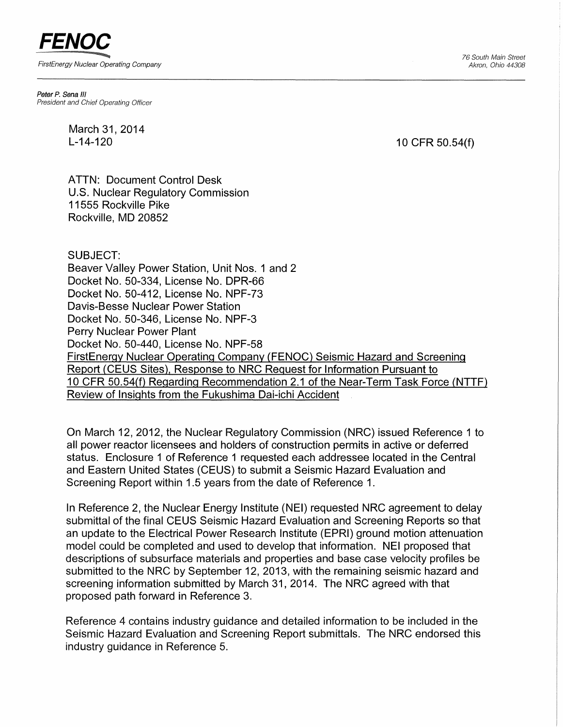**FE NOC** <sup>~</sup> FirstEnergy Nuclear Operating Company

76 South Main Street Akron, Ohio 44308

Peter P. Sena Ill President and Chief Operating Officer

> March 31, 2014 L-14-120

10 CFR 50.54(f)

ATTN: Document Control Desk U.S. Nuclear Regulatory Commission 11555 Rockville Pike Rockville, MD 20852

SUBJECT:

Beaver Valley Power Station, Unit Nos. 1 and 2 Docket No. 50-334, License No. DPR-66 Docket No. 50-412, License No. NPF-73 Davis-Besse Nuclear Power Station Docket No. 50-346, License No. NPF-3 Perry Nuclear Power Plant Docket No. 50-440, License No. NPF-58 FirstEnergy Nuclear Operating Company (FENOC) Seismic Hazard and Screening Report (CEUS Sites), Response to NRC Request for Information Pursuant to 10 CFR 50.54(f} Regarding Recommendation 2.1 of the Near-Term Task Force (NTTF) Review of Insights from the Fukushima Dai-ichi Accident

On March 12, 2012, the Nuclear Regulatory Commission (NRC) issued Reference 1 to all power reactor licensees and holders of construction permits in active or deferred status. Enclosure 1 of Reference 1 requested each addressee located in the Central and Eastern United States (CEUS) to submit a Seismic Hazard Evaluation and Screening Report within 1.5 years from the date of Reference 1.

In Reference 2, the Nuclear Energy Institute (NEI) requested NRC agreement to delay submittal of the final CEUS Seismic Hazard Evaluation and Screening Reports so that an update to the Electrical Power Research Institute (EPRI) ground motion attenuation model could be completed and used to develop that information. NEI proposed that descriptions of subsurface materials and properties and base case velocity profiles be submitted to the NRC by September 12, 2013, with the remaining seismic hazard and screening information submitted by March 31, 2014. The NRC agreed with that proposed path forward in Reference 3.

Reference 4 contains industry guidance and detailed information to be included in the Seismic Hazard Evaluation and Screening Report submittals. The NRC endorsed this industry guidance in Reference 5.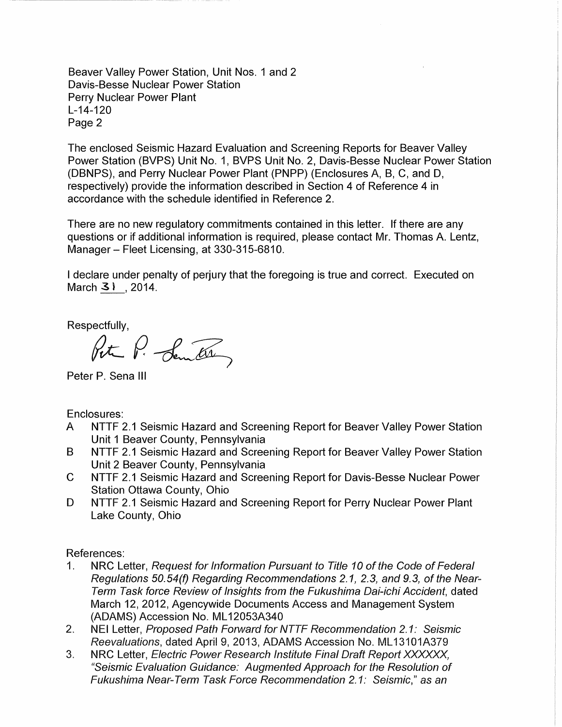Beaver Valley Power Station, Unit Nos. 1 and 2 Davis-Besse Nuclear Power Station Perry Nuclear Power Plant L-14-120 Page 2

The enclosed Seismic Hazard Evaluation and Screening Reports for Beaver Valley Power Station (BVPS) Unit No. 1, BVPS Unit No. 2, Davis-Besse Nuclear Power Station (DBNPS), and Perry Nuclear Power Plant (PNPP) (Enclosures A, B, C, and D, respectively) provide the information described in Section 4 of Reference 4 in accordance with the schedule identified in Reference 2.

There are no new regulatory commitments contained in this letter. If there are any questions or if additional information is required, please contact Mr. Thomas A. Lentz, Manager - Fleet Licensing, at 330-315-6810.

I declare under penalty of perjury that the foregoing is true and correct. Executed on March  $3!$ , 2014.

Respectfully,

Pete P. Sembre

Peter P. Sena Ill

Enclosures:

- A NTTF 2.1 Seismic Hazard and Screening Report for Beaver Valley Power Station Unit 1 Beaver County, Pennsylvania
- B NTTF 2.1 Seismic Hazard and Screening Report for Beaver Valley Power Station Unit 2 Beaver County, Pennsylvania
- C NTTF 2.1 Seismic Hazard and Screening Report for Davis-Besse Nuclear Power Station Ottawa County, Ohio
- D NTTF 2.1 Seismic Hazard and Screening Report for Perry Nuclear Power Plant Lake County, Ohio

References:

- 1. NRC Letter, Request for Information Pursuant to Title 10 of the Code of Federal Regulations 50. 54(f) Regarding Recommendations 2. 1, 2. 3, and 9. 3, of the Near-Term Task force Review of Insights from the Fukushima Dai-ichi Accident, dated March 12, 2012, Agencywide Documents Access and Management System (ADAMS) Accession No. ML 12053A340
- 2. NEI Letter, Proposed Path Forward for NTTF Recommendation 2.1: Seismic Reevaluations, dated April 9, 2013, ADAMS Accession No. ML 13101A379
- 3. NRC Letter, Electric Power Research Institute Final Draft Report XXXXXX, "Seismic Evaluation Guidance: Augmented Approach for the Resolution of Fukushima Near-Term Task Force Recommendation 2.1: Seismic," as an